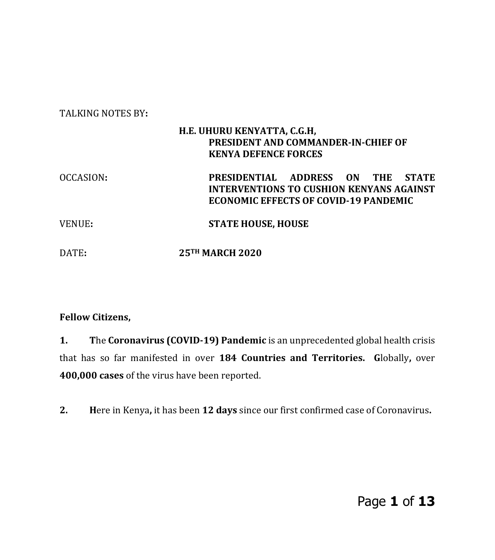# TALKING NOTES BY**: H.E. UHURU KENYATTA, C.G.H, PRESIDENT AND COMMANDER-IN-CHIEF OF KENYA DEFENCE FORCES**  OCCASION**: PRESIDENTIAL ADDRESS ON THE STATE INTERVENTIONS TO CUSHION KENYANS AGAINST ECONOMIC EFFECTS OF COVID-19 PANDEMIC**  VENUE**: STATE HOUSE, HOUSE** DATE**: 25TH MARCH 2020**

#### **Fellow Citizens,**

**1. T**he **Coronavirus (COVID-19) Pandemic** is an unprecedented global health crisis that has so far manifested in over **184 Countries and Territories. G**lobally**,** over **400,000 cases** of the virus have been reported.

**2. H**ere in Kenya**,** it has been **12 days** since our first confirmed case of Coronavirus**.**

Page **1** of **13**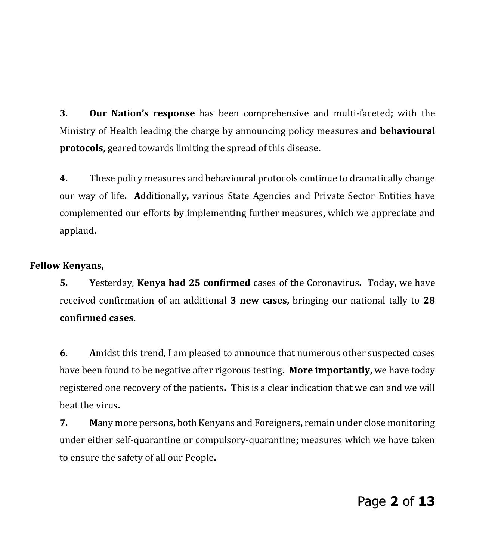**3. Our Nation's response** has been comprehensive and multi-faceted**;** with the Ministry of Health leading the charge by announcing policy measures and **behavioural protocols,** geared towards limiting the spread of this disease**.**

**4. T**hese policy measures and behavioural protocols continue to dramatically change our way of life**. A**dditionally**,** various State Agencies and Private Sector Entities have complemented our efforts by implementing further measures**,** which we appreciate and applaud**.**

### **Fellow Kenyans,**

**5. Y**esterday, **Kenya had 25 confirmed** cases of the Coronavirus**. T**oday**,** we have received confirmation of an additional **3 new cases,** bringing our national tally to **28 confirmed cases.** 

**6. A**midst this trend**,** I am pleased to announce that numerous other suspected cases have been found to be negative after rigorous testing**. More importantly,** we have today registered one recovery of the patients**. T**his is a clear indication that we can and we will beat the virus**.**

**7. M**any more persons**,** both Kenyans and Foreigners**,** remain under close monitoring under either self-quarantine or compulsory-quarantine**;** measures which we have taken to ensure the safety of all our People**.**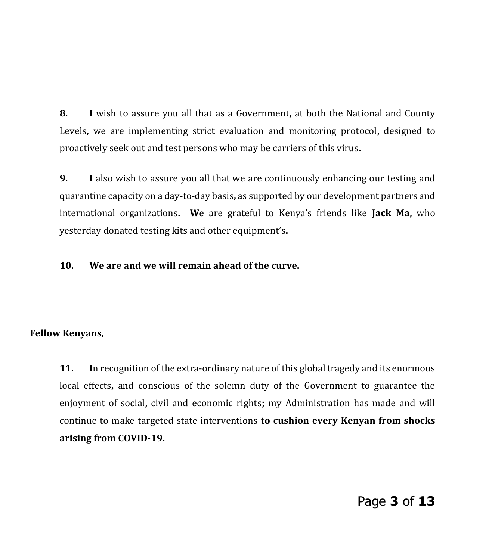**8. I** wish to assure you all that as a Government**,** at both the National and County Levels**,** we are implementing strict evaluation and monitoring protocol**,** designed to proactively seek out and test persons who may be carriers of this virus**.** 

**9. I** also wish to assure you all that we are continuously enhancing our testing and quarantine capacity on a day-to-day basis**,** as supported by our development partners and international organizations**. W**e are grateful to Kenya's friends like **Jack Ma,** who yesterday donated testing kits and other equipment's**.** 

### **10. We are and we will remain ahead of the curve.**

### **Fellow Kenyans,**

**11. I**n recognition of the extra-ordinary nature of this global tragedy and its enormous local effects**,** and conscious of the solemn duty of the Government to guarantee the enjoyment of social**,** civil and economic rights**;** my Administration has made and will continue to make targeted state interventions **to cushion every Kenyan from shocks arising from COVID-19.**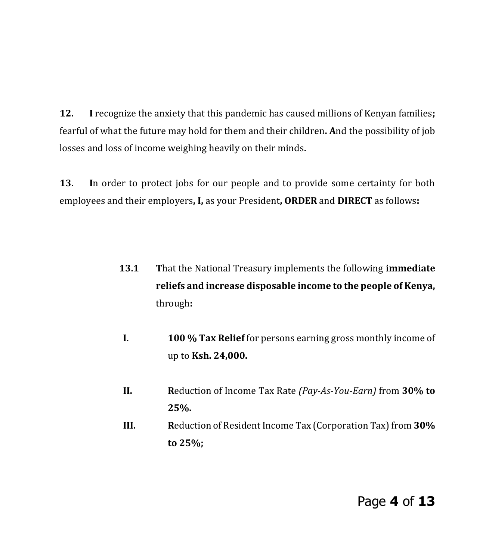**12. I** recognize the anxiety that this pandemic has caused millions of Kenyan families**;**  fearful of what the future may hold for them and their children**. A**nd the possibility of job losses and loss of income weighing heavily on their minds**.** 

**13. I**n order to protect jobs for our people and to provide some certainty for both employees and their employers**, I,** as your President**, ORDER** and **DIRECT** as follows**:**

- **13.1 T**hat the National Treasury implements the following **immediate reliefs and increase disposable income to the people of Kenya,** through**:**
- **I. 100 % Tax Relief** for persons earning gross monthly income of up to **Ksh. 24,000.**
- **II. R**eduction of Income Tax Rate *(Pay-As-You-Earn)* from **30% to 25%.**
- **III. R**eduction of Resident Income Tax (Corporation Tax) from **30% to 25%;**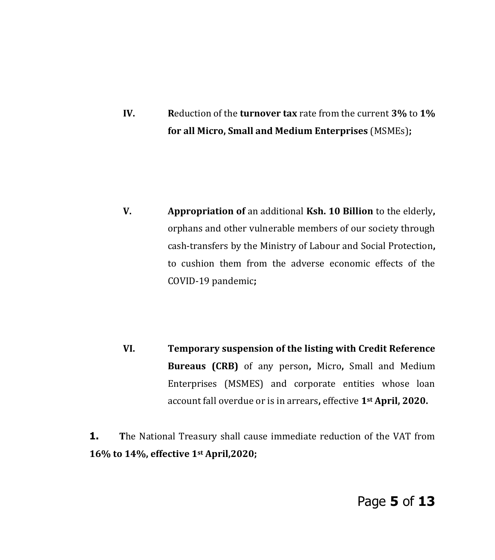**IV. R**eduction of the **turnover tax** rate from the current **3%** to **1% for all Micro, Small and Medium Enterprises** (MSMEs)**;** 

**V. Appropriation of** an additional **Ksh. 10 Billion** to the elderly**,**  orphans and other vulnerable members of our society through cash-transfers by the Ministry of Labour and Social Protection**,** to cushion them from the adverse economic effects of the COVID-19 pandemic**;** 

**VI. Temporary suspension of the listing with Credit Reference Bureaus (CRB)** of any person**,** Micro**,** Small and Medium Enterprises (MSMES) and corporate entities whose loan account fall overdue or is in arrears**,** effective **1st April, 2020.**

**1.** The National Treasury shall cause immediate reduction of the VAT from **16% to 14%, effective 1st April,2020;**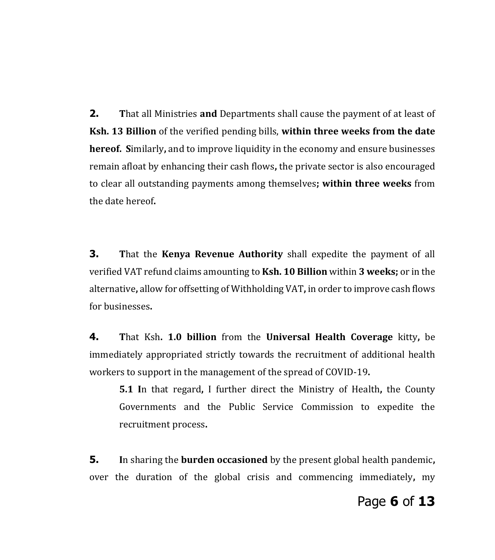**2. T**hat all Ministries **and** Departments shall cause the payment of at least of **Ksh. 13 Billion** of the verified pending bills, **within three weeks from the date hereof. S**imilarly**,** and to improve liquidity in the economy and ensure businesses remain afloat by enhancing their cash flows**,** the private sector is also encouraged to clear all outstanding payments among themselves**; within three weeks** from the date hereof**.**

**3. T**hat the **Kenya Revenue Authority** shall expedite the payment of all verified VAT refund claims amounting to **Ksh. 10 Billion** within **3 weeks;** or in the alternative**,** allow for offsetting of Withholding VAT**,** in order to improve cash flows for businesses**.** 

**4. T**hat Ksh**. 1.0 billion** from the **Universal Health Coverage** kitty**,** be immediately appropriated strictly towards the recruitment of additional health workers to support in the management of the spread of COVID-19**.** 

**5.1 I**n that regard**,** I further direct the Ministry of Health**,** the County Governments and the Public Service Commission to expedite the recruitment process**.** 

**5. I**n sharing the **burden occasioned** by the present global health pandemic**,** over the duration of the global crisis and commencing immediately**,** my

## Page **6** of **13**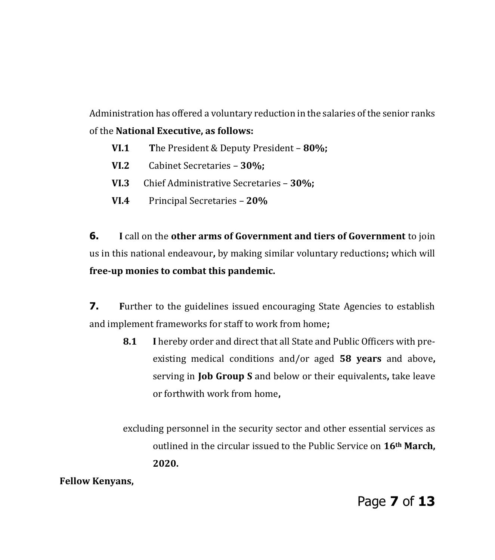Administration has offered a voluntary reduction in the salaries of the senior ranks of the **National Executive, as follows:**

- **VI.1 T**he President & Deputy President **80%;**
- **VI.2** Cabinet Secretaries **30%;**
- **VI.3** Chief Administrative Secretaries **30%;**
- **VI.4** Principal Secretaries **20%**

**6. I** call on the **other arms of Government and tiers of Government** to join us in this national endeavour**,** by making similar voluntary reductions**;** which will **free-up monies to combat this pandemic.**

**7.** Further to the guidelines issued encouraging State Agencies to establish and implement frameworks for staff to work from home**;**

**8.1 I** hereby order and direct that all State and Public Officers with preexisting medical conditions and/or aged **58 years** and above**,** serving in **Job Group S** and below or their equivalents**,** take leave or forthwith work from home**,** 

excluding personnel in the security sector and other essential services as outlined in the circular issued to the Public Service on **16th March, 2020.**

**Fellow Kenyans,**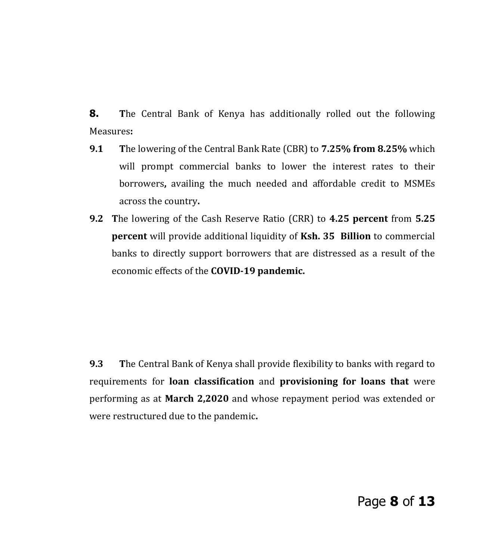**8. The Central Bank of Kenya has additionally rolled out the following** Measures**:** 

- **9.1 T**he lowering of the Central Bank Rate (CBR) to **7.25% from 8.25%** which will prompt commercial banks to lower the interest rates to their borrowers**,** availing the much needed and affordable credit to MSMEs across the country**.**
- **9.2 T**he lowering of the Cash Reserve Ratio (CRR) to **4.25 percent** from **5.25 percent** will provide additional liquidity of **Ksh. 35 Billion** to commercial banks to directly support borrowers that are distressed as a result of the economic effects of the **COVID-19 pandemic.**

**9.3 T**he Central Bank of Kenya shall provide flexibility to banks with regard to requirements for **loan classification** and **provisioning for loans that** were performing as at **March 2,2020** and whose repayment period was extended or were restructured due to the pandemic**.**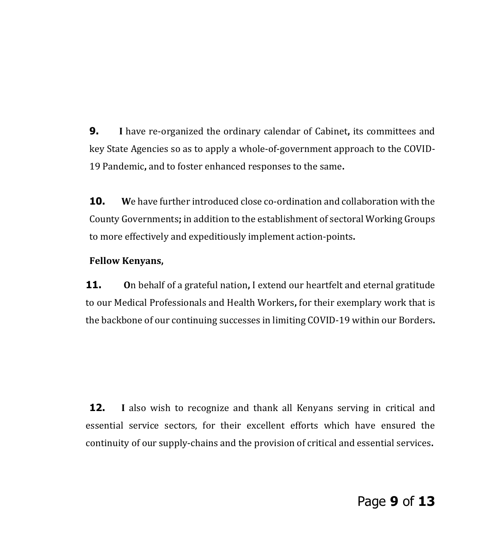**9. I** have re-organized the ordinary calendar of Cabinet**,** its committees and key State Agencies so as to apply a whole-of-government approach to the COVID-19 Pandemic**,** and to foster enhanced responses to the same**.** 

**10. W**e have further introduced close co-ordination and collaboration with the County Governments**;** in addition to the establishment of sectoral Working Groups to more effectively and expeditiously implement action-points**.** 

#### **Fellow Kenyans,**

**11. O**n behalf of a grateful nation**,** I extend our heartfelt and eternal gratitude to our Medical Professionals and Health Workers**,** for their exemplary work that is the backbone of our continuing successes in limiting COVID-19 within our Borders**.** 

**12. I** also wish to recognize and thank all Kenyans serving in critical and essential service sectors, for their excellent efforts which have ensured the continuity of our supply-chains and the provision of critical and essential services**.**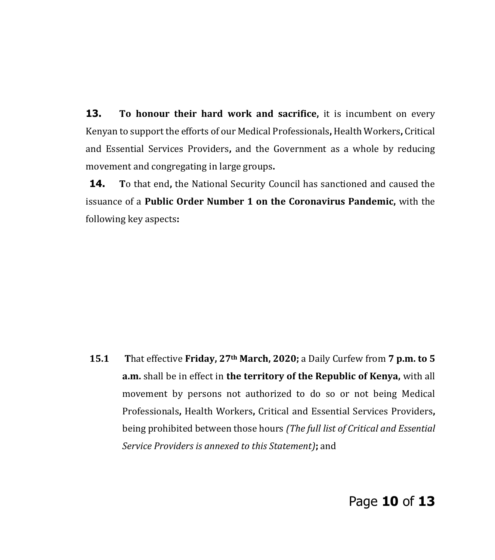**13.** To honour their hard work and sacrifice, it is incumbent on every Kenyan to support the efforts of our Medical Professionals**,** Health Workers**,** Critical and Essential Services Providers**,** and the Government as a whole by reducing movement and congregating in large groups**.**

**14. T**o that end**,** the National Security Council has sanctioned and caused the issuance of a **Public Order Number 1 on the Coronavirus Pandemic,** with the following key aspects**:**

**15.1 T**hat effective **Friday, 27th March, 2020;** a Daily Curfew from **7 p.m. to 5 a.m.** shall be in effect in **the territory of the Republic of Kenya,** with all movement by persons not authorized to do so or not being Medical Professionals**,** Health Workers**,** Critical and Essential Services Providers**,** being prohibited between those hours *(The full list of Critical and Essential Service Providers is annexed to this Statement)***;** and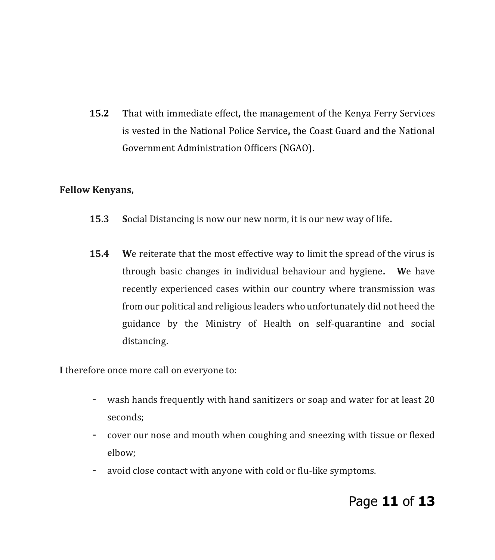**15.2 T**hat with immediate effect**,** the management of the Kenya Ferry Services is vested in the National Police Service**,** the Coast Guard and the National Government Administration Officers (NGAO)**.**

#### **Fellow Kenyans,**

- **15.3 S**ocial Distancing is now our new norm, it is our new way of life**.**
- **15.4 W**e reiterate that the most effective way to limit the spread of the virus is through basic changes in individual behaviour and hygiene**. W**e have recently experienced cases within our country where transmission was from our political and religious leaders who unfortunately did not heed the guidance by the Ministry of Health on self-quarantine and social distancing**.**

**I** therefore once more call on everyone to:

- wash hands frequently with hand sanitizers or soap and water for at least 20 seconds;
- cover our nose and mouth when coughing and sneezing with tissue or flexed elbow;
- avoid close contact with anyone with cold or flu-like symptoms.

## Page **11** of **13**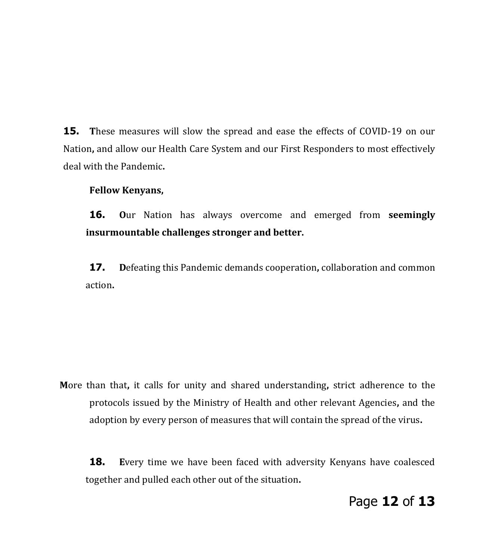**15.** These measures will slow the spread and ease the effects of COVID-19 on our Nation**,** and allow our Health Care System and our First Responders to most effectively deal with the Pandemic**.**

#### **Fellow Kenyans,**

**16. O**ur Nation has always overcome and emerged from **seemingly insurmountable challenges stronger and better.** 

**17. D**efeating this Pandemic demands cooperation**,** collaboration and common action**.** 

**M**ore than that**,** it calls for unity and shared understanding**,** strict adherence to the protocols issued by the Ministry of Health and other relevant Agencies**,** and the adoption by every person of measures that will contain the spread of the virus**.**

**18. Every time we have been faced with adversity Kenyans have coalesced** together and pulled each other out of the situation**.** 

## Page **12** of **13**